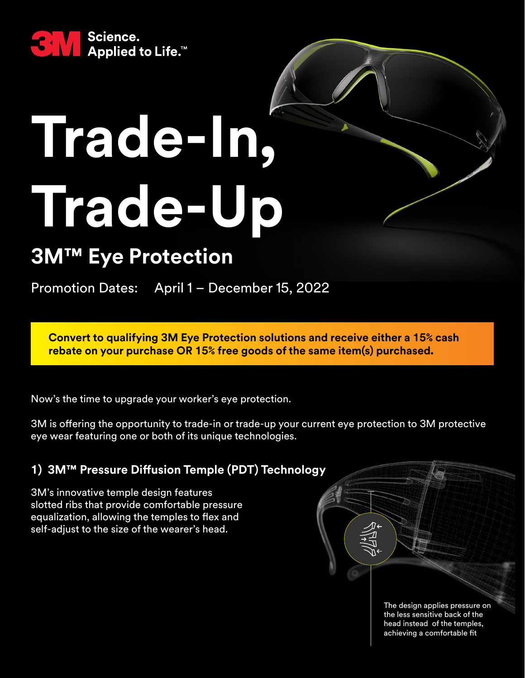

# **Trade-In, Trade-Up**

# **3M™ Eye Protection**

Promotion Dates: April 1 - December 15, 2022

**Convert to qualifying 3M Eye Protection solutions and receive either a 15% cash rebate on your purchase OR 15% free goods of the same item(s) purchased.**

Now's the time to upgrade your worker's eye protection.

3M is offering the opportunity to trade-in or trade-up your current eye protection to 3M protective eye wear featuring one or both of its unique technologies.

#### **1) 3M™ Pressure Diffusion Temple (PDT) Technology**

3M's innovative temple design features slotted ribs that provide comfortable pressure equalization, allowing the temples to flex and self-adjust to the size of the wearer's head.

> The design applies pressure on the less sensitive back of the head instead of the temples, achieving a comfortable fit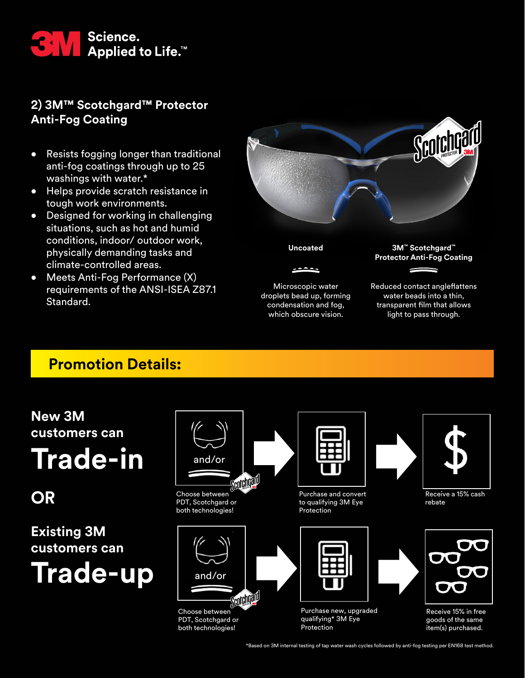

### **2) 3M™ Scotchgard™ Protector Anti-Fog Coating**

- Resists fogging longer than traditional anti-fog coatings through up to 25 washings with water.\*
- Helps provide scratch resistance in tough work environments.
- Designed for working in challenging situations, such as hot and humid conditions, indoor/ outdoor work, physically demanding tasks and climate-controlled areas.
- Meets Anti-Fog Performance (X) requirements of the ANSI-ISEA Z87.1 Standard.



## **Promotion Details:**

**OR**

**New 3M**



\*Based on 3M internal testing of tap water wash cycles followed by anti-fog testing per EN168 test method.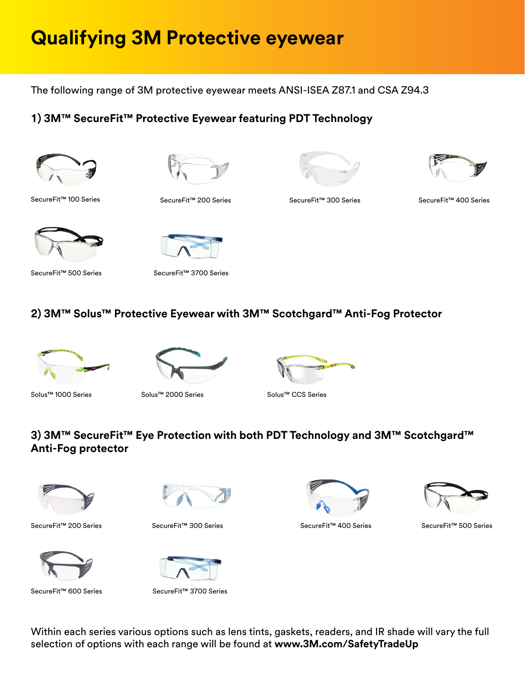# **Qualifying 3M Protective eyewear**

The following range of 3M protective eyewear meets ANSI-ISEA Z87.1 and CSA Z94.3

#### **1) 3M™ SecureFit™ Protective Eyewear featuring PDT Technology**









SecureFit™ 100 Series SecureFit™ 200 Series SecureFit™ 400 Series

SecureFit™ 300 Series





SecureFit<sup>™</sup> 500 Series SecureFit<sup>™</sup> 3700 Series

### **2) 3M™ Solus™ Protective Eyewear with 3M™ Scotchgard™ Anti-Fog Protector**





Solus™ 1000 Series Solus™ 2000 Series Solus™ CCS Series

### **3) 3M™ SecureFit™ Eye Protection with both PDT Technology and 3M™ Scotchgard™ Anti-Fog protector**







SecureFit™ 200 Series SecureFit™ 300 Series SecureFit™ 400 Series SecureFit™ 500 Series



SecureFit™ 600 Series SecureFit™ 3700 Series



SecureFit™ 400 Series



Within each series various options such as lens tints, gaskets, readers, and IR shade will vary the full selection of options with each range will be found at **[www.3M.com/SafetyTradeUp](http://www.3M.com/SafetyTradeUp)**